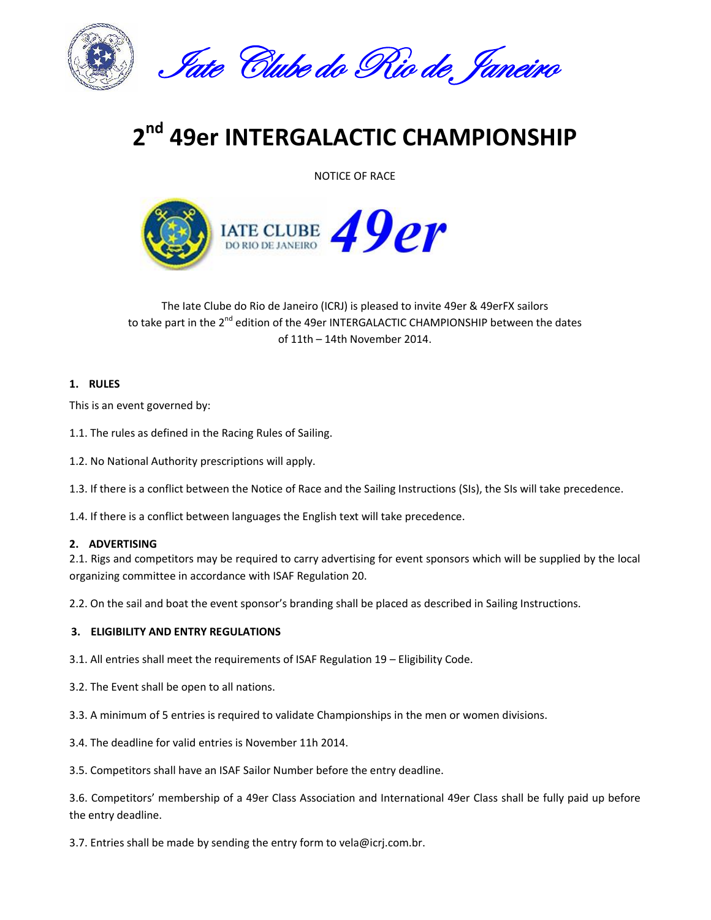

# **2 nd 49er INTERGALACTIC CHAMPIONSHIP**

NOTICE OF RACE



The Iate Clube do Rio de Janeiro (ICRJ) is pleased to invite 49er & 49erFX sailors to take part in the 2<sup>nd</sup> edition of the 49er INTERGALACTIC CHAMPIONSHIP between the dates of 11th – 14th November 2014.

# **1. RULES**

This is an event governed by:

- 1.1. The rules as defined in the Racing Rules of Sailing.
- 1.2. No National Authority prescriptions will apply.

1.3. If there is a conflict between the Notice of Race and the Sailing Instructions (SIs), the SIs will take precedence.

1.4. If there is a conflict between languages the English text will take precedence.

# **2. ADVERTISING**

2.1. Rigs and competitors may be required to carry advertising for event sponsors which will be supplied by the local organizing committee in accordance with ISAF Regulation 20.

2.2. On the sail and boat the event sponsor's branding shall be placed as described in Sailing Instructions.

# **3. ELIGIBILITY AND ENTRY REGULATIONS**

3.1. All entries shall meet the requirements of ISAF Regulation 19 – Eligibility Code.

3.2. The Event shall be open to all nations.

3.3. A minimum of 5 entries is required to validate Championships in the men or women divisions.

3.4. The deadline for valid entries is November 11h 2014.

3.5. Competitors shall have an ISAF Sailor Number before the entry deadline.

3.6. Competitors' membership of a 49er Class Association and International 49er Class shall be fully paid up before the entry deadline.

3.7. Entries shall be made by sending the entry form to vela@icrj.com.br.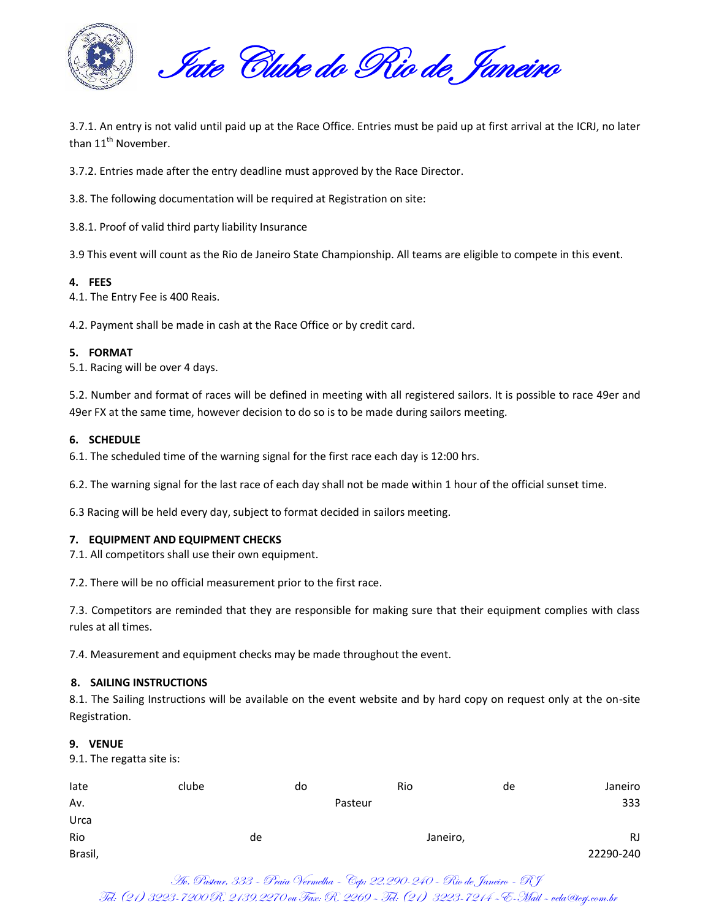

3.7.1. An entry is not valid until paid up at the Race Office. Entries must be paid up at first arrival at the ICRJ, no later than 11<sup>th</sup> November.

3.7.2. Entries made after the entry deadline must approved by the Race Director.

3.8. The following documentation will be required at Registration on site:

3.8.1. Proof of valid third party liability Insurance

3.9 This event will count as the Rio de Janeiro State Championship. All teams are eligible to compete in this event.

#### **4. FEES**

4.1. The Entry Fee is 400 Reais.

4.2. Payment shall be made in cash at the Race Office or by credit card.

#### **5. FORMAT**

5.1. Racing will be over 4 days.

5.2. Number and format of races will be defined in meeting with all registered sailors. It is possible to race 49er and 49er FX at the same time, however decision to do so is to be made during sailors meeting.

#### **6. SCHEDULE**

6.1. The scheduled time of the warning signal for the first race each day is 12:00 hrs.

6.2. The warning signal for the last race of each day shall not be made within 1 hour of the official sunset time.

6.3 Racing will be held every day, subject to format decided in sailors meeting.

# **7. EQUIPMENT AND EQUIPMENT CHECKS**

7.1. All competitors shall use their own equipment.

7.2. There will be no official measurement prior to the first race.

7.3. Competitors are reminded that they are responsible for making sure that their equipment complies with class rules at all times.

7.4. Measurement and equipment checks may be made throughout the event.

#### **8. SAILING INSTRUCTIONS**

8.1. The Sailing Instructions will be available on the event website and by hard copy on request only at the on-site Registration.

# **9. VENUE**

9.1. The regatta site is:

| late    | clube | do      | Rio      | de | Janeiro   |
|---------|-------|---------|----------|----|-----------|
| Av.     |       | Pasteur |          |    | 333       |
| Urca    |       |         |          |    |           |
| Rio     | de    |         | Janeiro, |    | <b>RJ</b> |
| Brasil, |       |         |          |    | 22290-240 |

Av. Pasteur, 333 – Praia Vermelha – Cep: 22.290-240 – Rio de Janeiro – RJ

Tel: (21) 3223-7200 R. 2139,2270 ou Fax: R. 2269 – Tel: (21) 3223-7214 –E-Mail – vela@icrj.com.br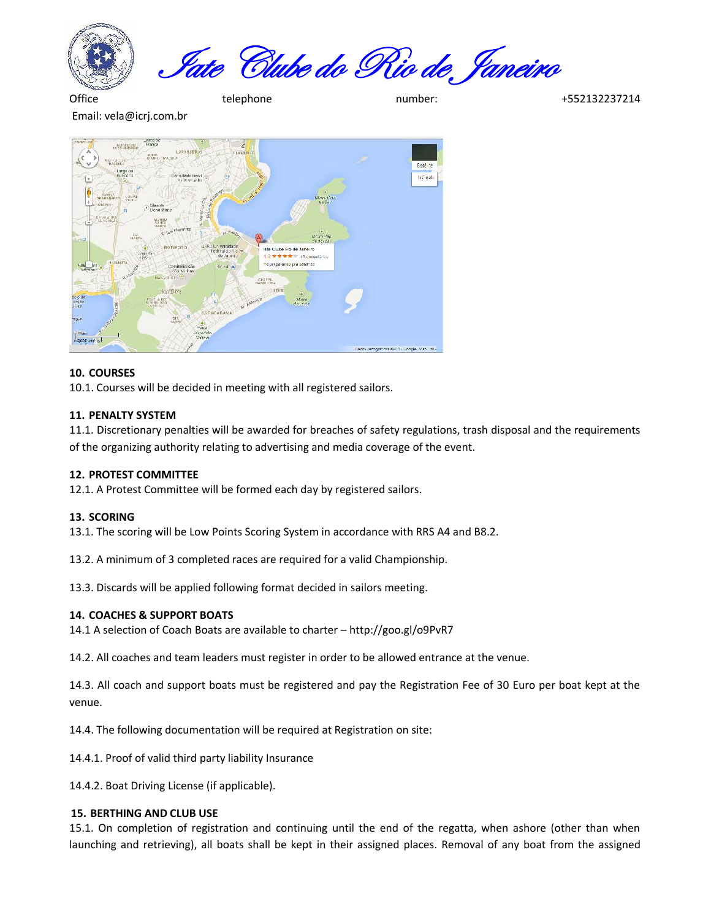*Iate Clube do Rio de Janeiro*

Office telephone number: +552132237214 Email: vela@icrj.com.br



#### **10. COURSES**

10.1. Courses will be decided in meeting with all registered sailors.

#### **11. PENALTY SYSTEM**

11.1. Discretionary penalties will be awarded for breaches of safety regulations, trash disposal and the requirements of the organizing authority relating to advertising and media coverage of the event.

#### **12. PROTEST COMMITTEE**

12.1. A Protest Committee will be formed each day by registered sailors.

# **13. SCORING**

13.1. The scoring will be Low Points Scoring System in accordance with RRS A4 and B8.2.

13.2. A minimum of 3 completed races are required for a valid Championship.

13.3. Discards will be applied following format decided in sailors meeting.

# **14. COACHES & SUPPORT BOATS**

14.1 A selection of Coach Boats are available to charter – http://goo.gl/o9PvR7

14.2. All coaches and team leaders must register in order to be allowed entrance at the venue.

14.3. All coach and support boats must be registered and pay the Registration Fee of 30 Euro per boat kept at the venue.

14.4. The following documentation will be required at Registration on site:

14.4.1. Proof of valid third party liability Insurance

14.4.2. Boat Driving License (if applicable).

#### **15. BERTHING AND CLUB USE**

15.1. On completion of registration and continuing until the end of the regatta, when ashore (other than when launching and retrieving), all boats shall be kept in their assigned places. Removal of any boat from the assigned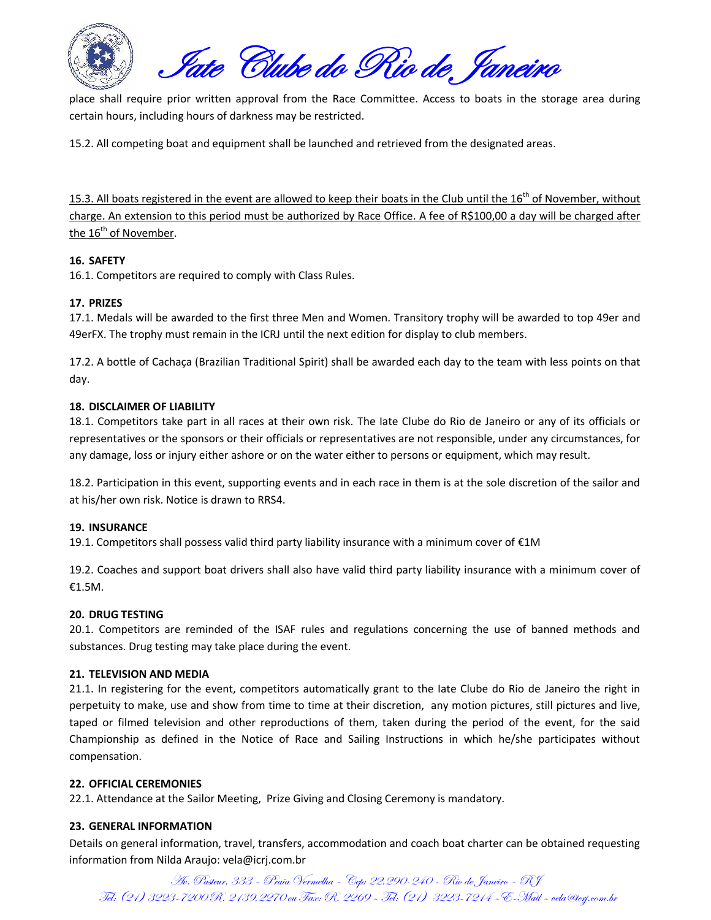

place shall require prior written approval from the Race Committee. Access to boats in the storage area during certain hours, including hours of darkness may be restricted.

15.2. All competing boat and equipment shall be launched and retrieved from the designated areas.

15.3. All boats registered in the event are allowed to keep their boats in the Club until the 16<sup>th</sup> of November, without charge. An extension to this period must be authorized by Race Office. A fee of R\$100,00 a day will be charged after the  $16^{th}$  of November.

#### **16. SAFETY**

16.1. Competitors are required to comply with Class Rules.

#### **17. PRIZES**

17.1. Medals will be awarded to the first three Men and Women. Transitory trophy will be awarded to top 49er and 49erFX. The trophy must remain in the ICRJ until the next edition for display to club members.

17.2. A bottle of Cachaça (Brazilian Traditional Spirit) shall be awarded each day to the team with less points on that day.

#### **18. DISCLAIMER OF LIABILITY**

18.1. Competitors take part in all races at their own risk. The Iate Clube do Rio de Janeiro or any of its officials or representatives or the sponsors or their officials or representatives are not responsible, under any circumstances, for any damage, loss or injury either ashore or on the water either to persons or equipment, which may result.

18.2. Participation in this event, supporting events and in each race in them is at the sole discretion of the sailor and at his/her own risk. Notice is drawn to RRS4.

#### **19. INSURANCE**

19.1. Competitors shall possess valid third party liability insurance with a minimum cover of €1M

19.2. Coaches and support boat drivers shall also have valid third party liability insurance with a minimum cover of €1.5M.

#### **20. DRUG TESTING**

20.1. Competitors are reminded of the ISAF rules and regulations concerning the use of banned methods and substances. Drug testing may take place during the event.

#### **21. TELEVISION AND MEDIA**

21.1. In registering for the event, competitors automatically grant to the Iate Clube do Rio de Janeiro the right in perpetuity to make, use and show from time to time at their discretion, any motion pictures, still pictures and live, taped or filmed television and other reproductions of them, taken during the period of the event, for the said Championship as defined in the Notice of Race and Sailing Instructions in which he/she participates without compensation.

#### **22. OFFICIAL CEREMONIES**

22.1. Attendance at the Sailor Meeting, Prize Giving and Closing Ceremony is mandatory.

# **23. GENERAL INFORMATION**

Details on general information, travel, transfers, accommodation and coach boat charter can be obtained requesting information from Nilda Araujo: vela@icrj.com.br

Av. Pasteur, 333 – Praia Vermelha – Cep: 22.290-240 – Rio de Janeiro – RJ Tel: (21) 3223-7200 R. 2139,2270 ou Fax: R. 2269 – Tel: (21) 3223-7214 –E-Mail – vela@icrj.com.br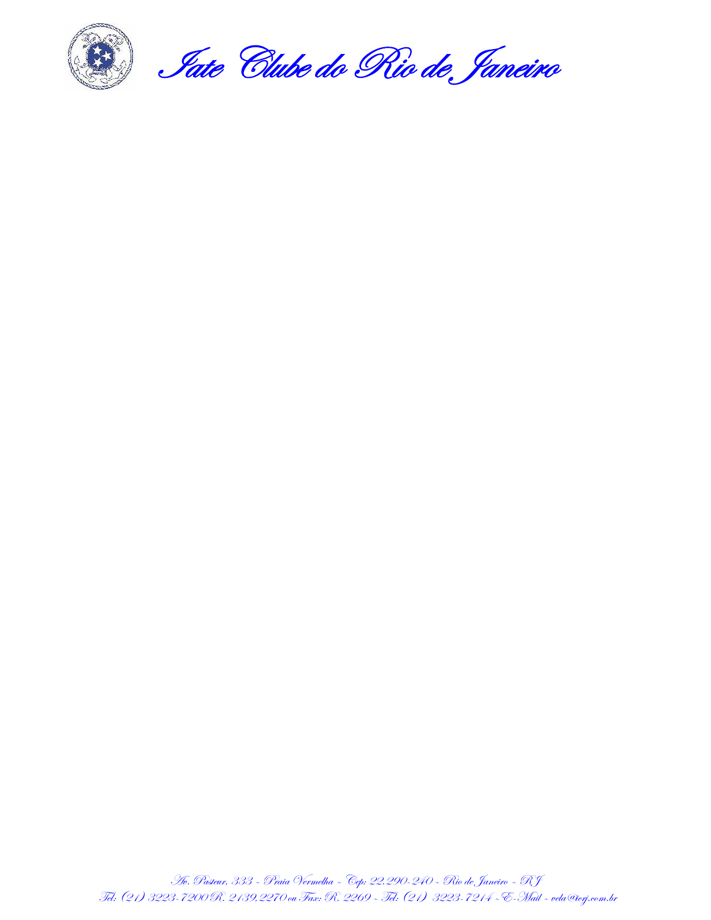

Av. Pasteur, 333 – Praia Vermelha – Cep: 22.290-240 – Rio de Janeiro – RJ Tel: (21) 3223-7200 R. 2139,2270 ou Fax: R. 2269 – Tel: (21) 3223-7214 –E-Mail – vela@icrj.com.br